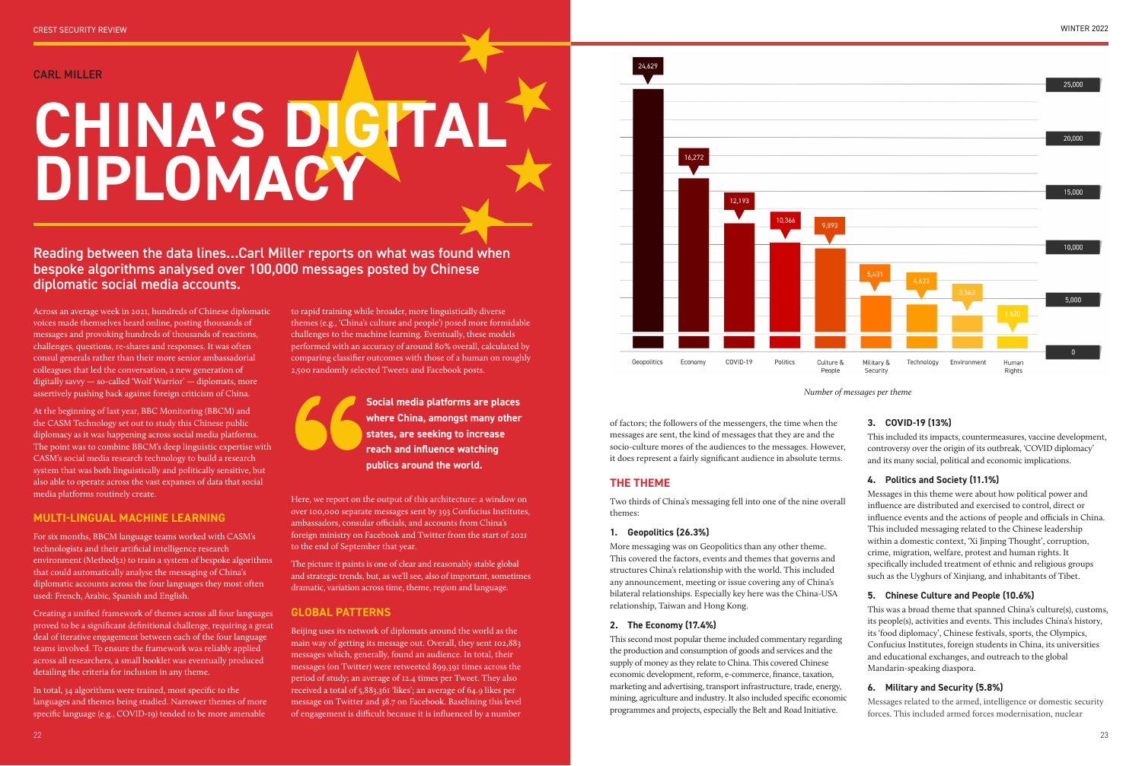CARL MILLER

Across an average week in 2021, hundreds of Chinese diplomatic voices made themselves heard online, posting thousands of messages and provoking hundreds of thousands of reactions, challenges, questions, re-shares and responses. It was often consul generals rather than their more senior ambassadorial colleagues that led the conversation, a new generation of digitally savvy — so-called 'Wolf Warrior' — diplomats, more assertively pushing back against foreign criticism of China.

At the beginning of last year, BBC Monitoring (BBCM) and the CASM Technology set out to study this Chinese public diplomacy as it was happening across social media platforms. The point was to combine BBCM's deep linguistic expertise with CASM's social media research technology to build a research system that was both linguistically and politically sensitive, but also able to operate across the vast expanses of data that social media platforms routinely create.

#### **MULTI-LINGUAL MACHINE LEARNING**

For six months, BBCM language teams worked with CASM's technologists and their artificial intelligence research environment (Method52) to train a system of bespoke algorithms that could automatically analyse the messaging of China's diplomatic accounts across the four languages they most often used: French, Arabic, Spanish and English.

Creating a unified framework of themes across all four languages proved to be a significant definitional challenge, requiring a great deal of iterative engagement between each of the four language teams involved. To ensure the framework was reliably applied across all researchers, a small booklet was eventually produced detailing the criteria for inclusion in any theme.

In total, 34 algorithms were trained, most specific to the languages and themes being studied. Narrower themes of more specific language (e.g., COVID-19) tended to be more amenable

to rapid training while broader, more linguistically diverse themes (e.g., 'China's culture and people') posed more formidable challenges to the machine learning. Eventually, these models performed with an accuracy of around 80% overall, calculated by comparing classifier outcomes with those of a human on roughly 2,500 randomly selected Tweets and Facebook posts.

Here, we report on the output of this architecture: a window on over 100,000 separate messages sent by 393 Confucius Institutes, ambassadors, consular officials, and accounts from China's foreign ministry on Facebook and Twitter from the start of 2021 to the end of September that year.

The picture it paints is one of clear and reasonably stable global and strategic trends, but, as we'll see, also of important, sometimes dramatic, variation across time, theme, region and language.

# **GLOBAL PATTERNS**

Beijing uses its network of diplomats around the world as the main way of getting its message out. Overall, they sent 102,883 messages which, generally, found an audience. In total, their messages (on Twitter) were retweeted 899,391 times across the period of study; an average of 12.4 times per Tweet. They also received a total of 5,883,361 'likes'; an average of 64.9 likes per message on Twitter and 38.7 on Facebook. Baselining this level of engagement is difficult because it is influenced by a number



# **CHINA'S DIGITAL DIPLOMACY**

Reading between the data lines…Carl Miller reports on what was found when bespoke algorithms analysed over 100,000 messages posted by Chinese diplomatic social media accounts.

of factors; the followers of the messengers, the time when the messages are sent, the kind of messages that they are and the socio-culture mores of the audiences to the messages. However, it does represent a fairly significant audience in absolute terms.

# **THE THEME**

Two thirds of China's messaging fell into one of the nine overall themes:

#### **1. Geopolitics (26.3%)**

More messaging was on Geopolitics than any other theme. This covered the factors, events and themes that governs and structures China's relationship with the world. This included any announcement, meeting or issue covering any of China's bilateral relationships. Especially key here was the China-USA relationship, Taiwan and Hong Kong.

#### **2. The Economy (17.4%)**

This second most popular theme included commentary regarding the production and consumption of goods and services and the supply of money as they relate to China. This covered Chinese economic development, reform, e-commerce, finance, taxation, marketing and advertising, transport infrastructure, trade, energy, mining, agriculture and industry. It also included specific economic programmes and projects, especially the Belt and Road Initiative.

# **3. COVID-19 (13%)**

This included its impacts, countermeasures, vaccine development, controversy over the origin of its outbreak, 'COVID diplomacy' and its many social, political and economic implications.

# **4. Politics and Society (11.1%)**

Messages in this theme were about how political power and influence are distributed and exercised to control, direct or influence events and the actions of people and officials in China. This included messaging related to the Chinese leadership within a domestic context, 'Xi Jinping Thought', corruption, crime, migration, welfare, protest and human rights. It specifically included treatment of ethnic and religious groups such as the Uyghurs of Xinjiang, and inhabitants of Tibet.

# **5. Chinese Culture and People (10.6%)**

This was a broad theme that spanned China's culture(s), customs, its people(s), activities and events. This includes China's history, its 'food diplomacy', Chinese festivals, sports, the Olympics, Confucius Institutes, foreign students in China, its universities and educational exchanges, and outreach to the global Mandarin-speaking diaspora.

# **6. Military and Security (5.8%)**

Messages related to the armed, intelligence or domestic security forces. This included armed forces modernisation, nuclear

**Social media platforms are places where China, amongst many other states, are seeking to increase reach and influence watching publics around the world.** 

*Number of messages per theme*